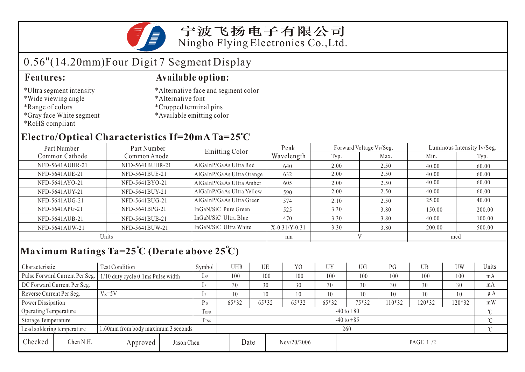宁波飞扬电子有限公司 Ningbo Flying Electronics Co.,Ltd.

## 0.56"(14.20mm)Four Digit 7 Segment Display

- \*Ultra segment intensity
- \*Wide viewing angle
- \*Range of colors
- \*Gray face White segment
- \*RoHS compliant

#### **Features: Available option:**

- \*Alternative face and segment color
- \*Alternative font
- \*Cropped terminal pins
- \*Available emitting color

### **Electro/Optical Characteristics If=20mA Ta=25 C**

| Part Number<br>Part Number |                 | Emitting Color            | Peak            |      | Forward Voltage VF/Seg. | Luminous Intensity Iv/Seg. |        |  |
|----------------------------|-----------------|---------------------------|-----------------|------|-------------------------|----------------------------|--------|--|
| Common Cathode             | Common Anode    |                           | Wavelength      | Typ. | Max.                    | Min.                       | Typ.   |  |
| NFD-5641AUHR-21            | NFD-5641BUHR-21 | AlGaInP/GaAs Ultra Red    | 640             | 2.00 | 2.50                    | 40.00                      | 60.00  |  |
| NFD-5641AUE-21             | NFD-5641BUE-21  | AlGaInP/GaAs Ultra Orange | 632             | 2.00 | 2.50                    | 40.00                      | 60.00  |  |
| NFD-5641AYO-21             | NFD-5641BYO-21  | AlGaInP/GaAs Ultra Amber  | 605             | 2.00 | 2.50                    | 40.00                      | 60.00  |  |
| NFD-5641AUY-21             | NFD-5641BUY-21  | AlGaInP/GaAs Ultra Yellow | 590             | 2.00 | 2.50                    | 40.00                      | 60.00  |  |
| NFD-5641AUG-21             | NFD-5641BUG-21  | AlGaInP/GaAs Ultra Green  | 574             | 2.10 | 2.50                    | 25.00                      | 40.00  |  |
| NFD-5641APG-21             | NFD-5641BPG-21  | InGaN/SiC Pure Green      | 525             | 3.30 | 3.80                    | 150.00                     | 200.00 |  |
| NFD-5641AUB-21             | NFD-5641BUB-21  | InGaN/SiC Ultra Blue      | 470             | 3.30 | 3.80                    | 40.00                      | 100.00 |  |
| NFD-5641AUW-21             | NFD-5641BUW-21  | InGaN/SiC Ultra White     | $X-0.31/Y-0.31$ | 3.30 | 3.80                    | 200.00                     | 500.00 |  |
| Units                      |                 |                           | nm              |      |                         | mcd                        |        |  |

## **Maximum Ratings Ta=25 C (Derate above 25 C)**

| Characteristic                                                   |                                | <b>Test Condition</b>               |          |                | Symbol      | <b>UHR</b>     |       | UE    | Y <sub>0</sub> | <b>UY</b> | UG       | PG     | UB       | <b>UW</b> | Units    |  |
|------------------------------------------------------------------|--------------------------------|-------------------------------------|----------|----------------|-------------|----------------|-------|-------|----------------|-----------|----------|--------|----------|-----------|----------|--|
|                                                                  | Pulse Forward Current Per Seg. | $1/10$ duty cycle 0.1ms Pulse width |          |                | $1$ FP      | 100            |       | 100   | 100            | 100       | 100      | 100    | 100      | 100       | mA       |  |
|                                                                  | DC Forward Current Per Seg.    |                                     |          |                | 1F          | 30             |       | 30    | 30             | 30        | 30       | 30     | 30       | 30        | mA       |  |
| Reverse Current Per Seg.                                         |                                | $V_R = 5V$                          |          |                | 1 R         | 10             |       | 10    | 10             | 10        | 10       | 10     | 10       | 10        | μA       |  |
| Power Dissipation                                                |                                |                                     | $P_D$    | 65*32          |             | 65*32          | 65*32 | 65*32 | 75*32          | 10*32     | 120*32   | 120*32 | mW       |           |          |  |
| <b>Operating Temperature</b>                                     |                                |                                     |          |                | <b>TOPR</b> | $-40$ to $+80$ |       |       |                |           |          |        |          |           | $\gamma$ |  |
| Storage Temperature                                              |                                |                                     | Trsg     | $-40$ to $+85$ |             |                |       |       |                |           |          |        | $\gamma$ |           |          |  |
| 1.60mm from body maximum 3 seconds<br>Lead soldering temperature |                                |                                     |          |                |             | 260            |       |       |                |           |          |        |          |           |          |  |
| Checked                                                          | Chen N.H.                      |                                     | Approved | Jason Chen     |             |                | Date  |       | Nov/20/2006    |           | PAGE 1/2 |        |          |           |          |  |